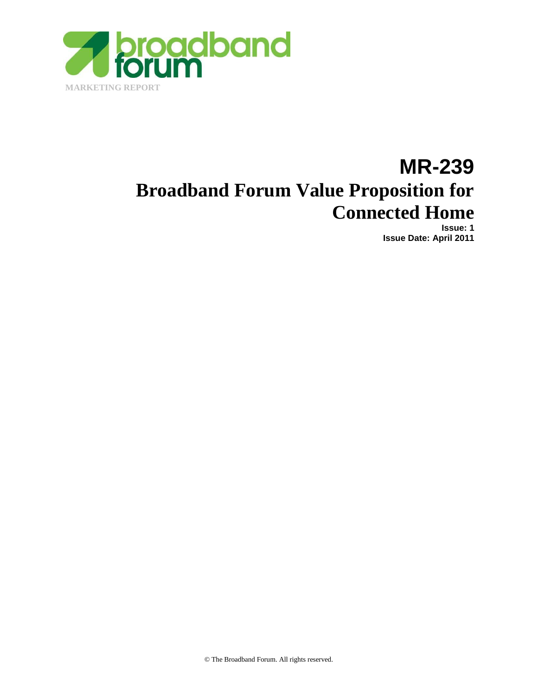

# **MR-239 Broadband Forum Value Proposition for Connected Home**

**Issue: 1 Issue Date: April 2011**

© The Broadband Forum. All rights reserved.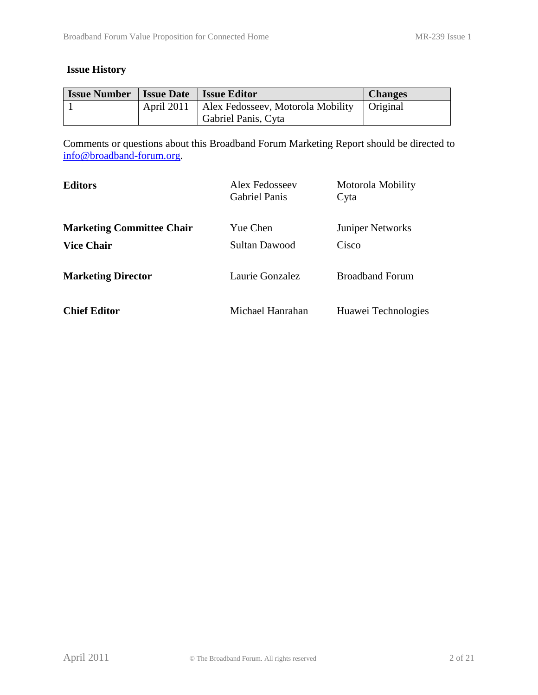#### **Issue History**

| <b>Issue Number</b> | <b>Issue Date Issue Editor</b>                            | <b>Changes</b> |
|---------------------|-----------------------------------------------------------|----------------|
|                     | April 2011   Alex Fedosseev, Motorola Mobility   Original |                |
|                     | Gabriel Panis, Cyta                                       |                |

Comments or questions about this Broadband Forum Marketing Report should be directed to [info@broadband-forum.org.](mailto:info@broadband-forum.org)

| <b>Editors</b>                   | Alex Fedosseev<br><b>Gabriel Panis</b> | Motorola Mobility<br>Cyta |
|----------------------------------|----------------------------------------|---------------------------|
| <b>Marketing Committee Chair</b> | Yue Chen                               | <b>Juniper Networks</b>   |
| <b>Vice Chair</b>                | <b>Sultan Dawood</b>                   | Cisco                     |
| <b>Marketing Director</b>        | Laurie Gonzalez                        | <b>Broadband Forum</b>    |
| <b>Chief Editor</b>              | Michael Hanrahan                       | Huawei Technologies       |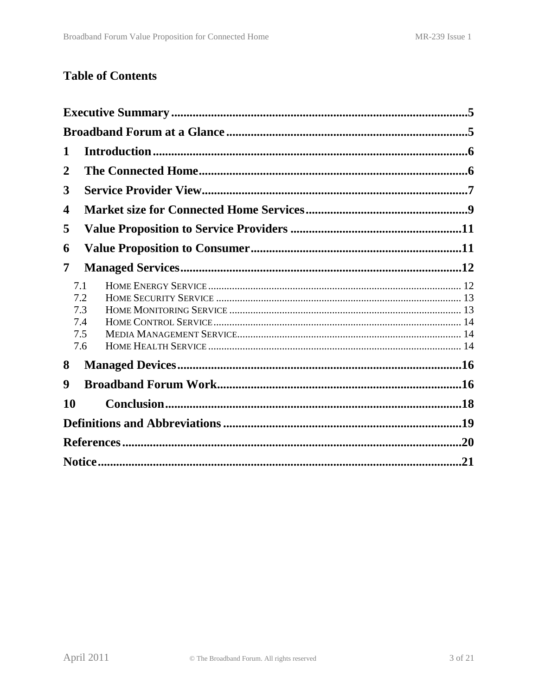## **Table of Contents**

| 1  |            |     |  |
|----|------------|-----|--|
| 2  |            |     |  |
| 3  |            |     |  |
| 4  |            |     |  |
| 5  |            |     |  |
| 6  |            |     |  |
| 7  |            |     |  |
|    | 7.1<br>7.2 |     |  |
|    | 7.3        |     |  |
|    | 7.4        |     |  |
|    | 7.5        |     |  |
|    | 7.6        |     |  |
| 8  |            |     |  |
| 9  |            |     |  |
| 10 |            |     |  |
|    |            |     |  |
|    |            |     |  |
|    |            | .21 |  |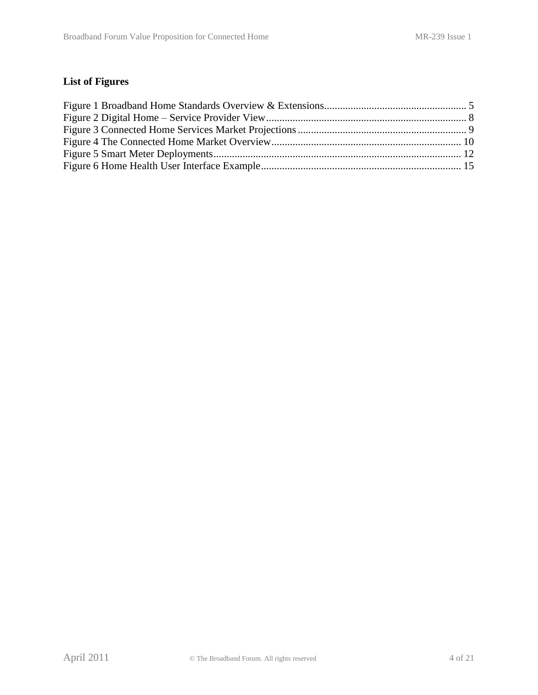## **List of Figures**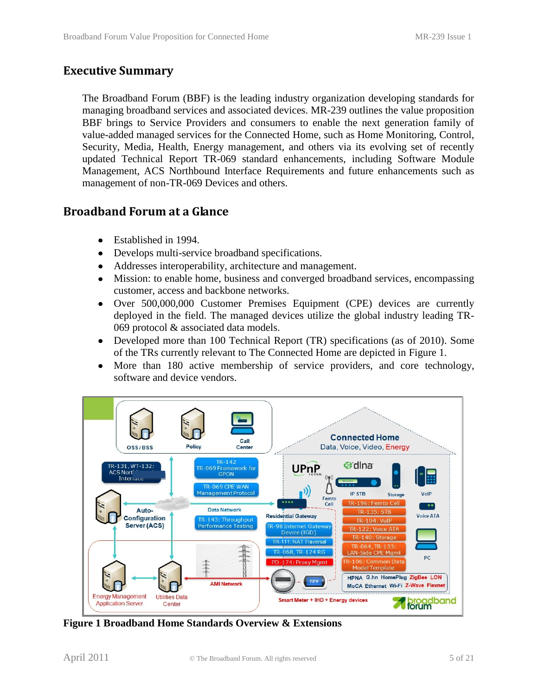#### <span id="page-4-0"></span>**Executive Summary**

The Broadband Forum (BBF) is the leading industry organization developing standards for managing broadband services and associated devices. MR-239 outlines the value proposition BBF brings to Service Providers and consumers to enable the next generation family of value-added managed services for the Connected Home, such as Home Monitoring, Control, Security, Media, Health, Energy management, and others via its evolving set of recently updated Technical Report TR-069 standard enhancements, including Software Module Management, ACS Northbound Interface Requirements and future enhancements such as management of non-TR-069 Devices and others.

#### <span id="page-4-1"></span>**Broadband Forum at a Glance**

- Established in 1994.
- Develops multi-service broadband specifications.  $\bullet$
- Addresses interoperability, architecture and management.  $\bullet$
- Mission: to enable home, business and converged broadband services, encompassing  $\bullet$ customer, access and backbone networks.
- Over 500,000,000 Customer Premises Equipment (CPE) devices are currently deployed in the field. The managed devices utilize the global industry leading TR-069 protocol & associated data models.
- Developed more than 100 Technical Report (TR) specifications (as of 2010). Some of the TRs currently relevant to The Connected Home are depicted in [Figure 1.](#page-4-2)
- More than 180 active membership of service providers, and core technology,  $\bullet$ software and device vendors.



<span id="page-4-2"></span>**Figure 1 Broadband Home Standards Overview & Extensions**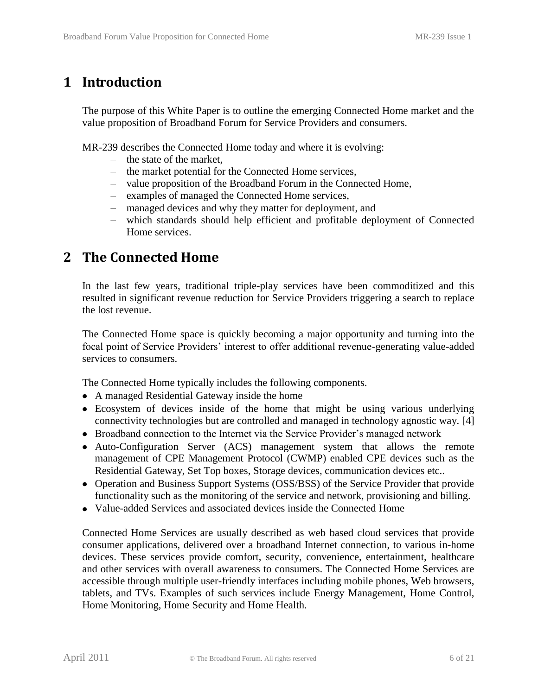## <span id="page-5-0"></span>**1 Introduction**

The purpose of this White Paper is to outline the emerging Connected Home market and the value proposition of Broadband Forum for Service Providers and consumers.

MR-239 describes the Connected Home today and where it is evolving:

- the state of the market,
- the market potential for the Connected Home services,
- value proposition of the Broadband Forum in the Connected Home,
- examples of managed the Connected Home services,
- managed devices and why they matter for deployment, and
- which standards should help efficient and profitable deployment of Connected Home services.

## <span id="page-5-1"></span>**2 The Connected Home**

In the last few years, traditional triple-play services have been commoditized and this resulted in significant revenue reduction for Service Providers triggering a search to replace the lost revenue.

The Connected Home space is quickly becoming a major opportunity and turning into the focal point of Service Providers' interest to offer additional revenue-generating value-added services to consumers.

The Connected Home typically includes the following components.

- A managed Residential Gateway inside the home
- Ecosystem of devices inside of the home that might be using various underlying connectivity technologies but are controlled and managed in technology agnostic way. [\[4\]](#page-19-1)
- Broadband connection to the Internet via the Service Provider's managed network
- Auto-Configuration Server (ACS) management system that allows the remote management of CPE Management Protocol (CWMP) enabled CPE devices such as the Residential Gateway, Set Top boxes, Storage devices, communication devices etc..
- Operation and Business Support Systems (OSS/BSS) of the Service Provider that provide functionality such as the monitoring of the service and network, provisioning and billing.
- Value-added Services and associated devices inside the Connected Home

Connected Home Services are usually described as web based cloud services that provide consumer applications, delivered over a broadband Internet connection, to various in-home devices. These services provide comfort, security, convenience, entertainment, healthcare and other services with overall awareness to consumers. The Connected Home Services are accessible through multiple user-friendly interfaces including mobile phones, Web browsers, tablets, and TVs. Examples of such services include Energy Management, Home Control, Home Monitoring, Home Security and Home Health.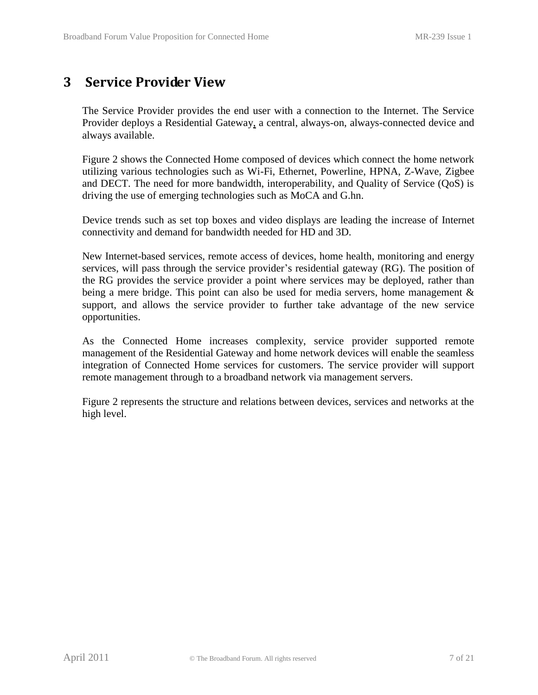## <span id="page-6-0"></span>**3 Service Provider View**

The Service Provider provides the end user with a connection to the Internet. The Service Provider deploys a Residential Gateway, a central, always-on, always-connected device and always available.

[Figure 2](#page-7-0) shows the Connected Home composed of devices which connect the home network utilizing various technologies such as Wi-Fi, Ethernet, Powerline, HPNA, Z-Wave, Zigbee and DECT. The need for more bandwidth, interoperability, and Quality of Service (QoS) is driving the use of emerging technologies such as MoCA and G.hn.

Device trends such as set top boxes and video displays are leading the increase of Internet connectivity and demand for bandwidth needed for HD and 3D.

New Internet-based services, remote access of devices, home health, monitoring and energy services, will pass through the service provider's residential gateway (RG). The position of the RG provides the service provider a point where services may be deployed, rather than being a mere bridge. This point can also be used for media servers, home management & support, and allows the service provider to further take advantage of the new service opportunities.

As the Connected Home increases complexity, service provider supported remote management of the Residential Gateway and home network devices will enable the seamless integration of Connected Home services for customers. The service provider will support remote management through to a broadband network via management servers.

[Figure 2](#page-7-0) represents the structure and relations between devices, services and networks at the high level.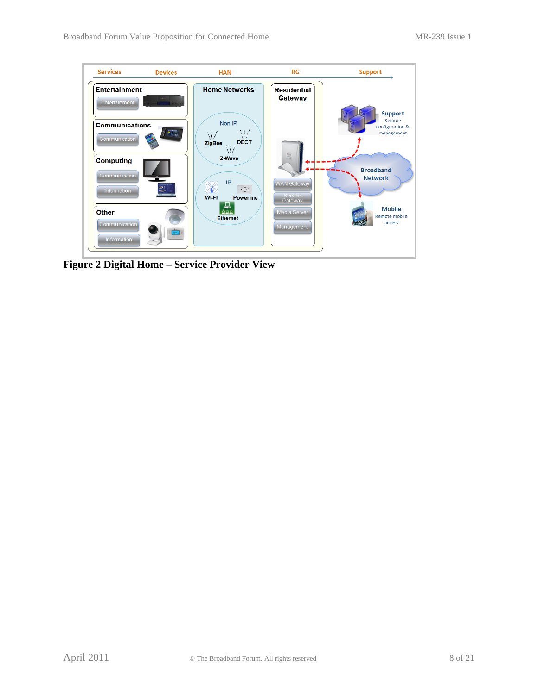<span id="page-7-0"></span>

**Figure 2 Digital Home – Service Provider View**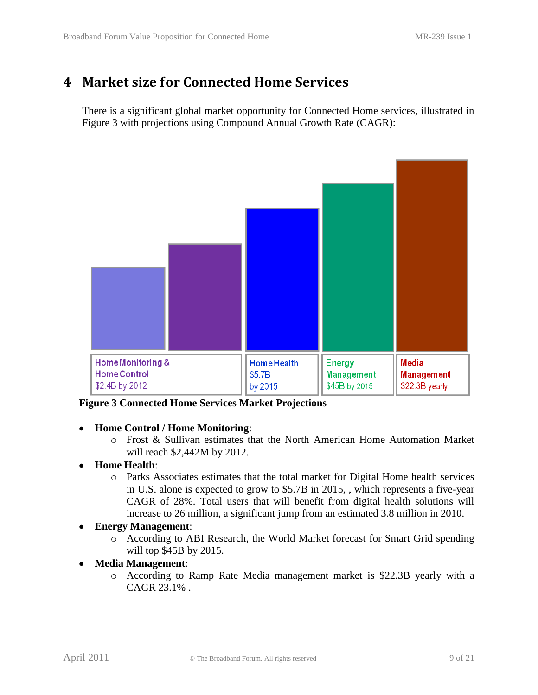## <span id="page-8-0"></span>**4 Market size for Connected Home Services**

There is a significant global market opportunity for Connected Home services, illustrated in [Figure 3](#page-8-1) with projections using Compound Annual Growth Rate (CAGR):



<span id="page-8-1"></span>**Figure 3 Connected Home Services Market Projections**

#### **Home Control / Home Monitoring**:  $\bullet$

- o Frost & Sullivan estimates that the North American Home Automation Market will reach \$2,442M by 2012.
- **Home Health**:
	- o Parks Associates estimates that the total market for Digital Home health services in U.S. alone is expected to grow to \$5.7B in 2015, , which represents a five-year CAGR of 28%. Total users that will benefit from digital health solutions will increase to 26 million, a significant jump from an estimated 3.8 million in 2010.
- **Energy Management**:  $\bullet$ 
	- o According to ABI Research, the World Market forecast for Smart Grid spending will top \$45B by 2015.
- **Media Management**:
	- o According to Ramp Rate Media management market is \$22.3B yearly with a CAGR 23.1% .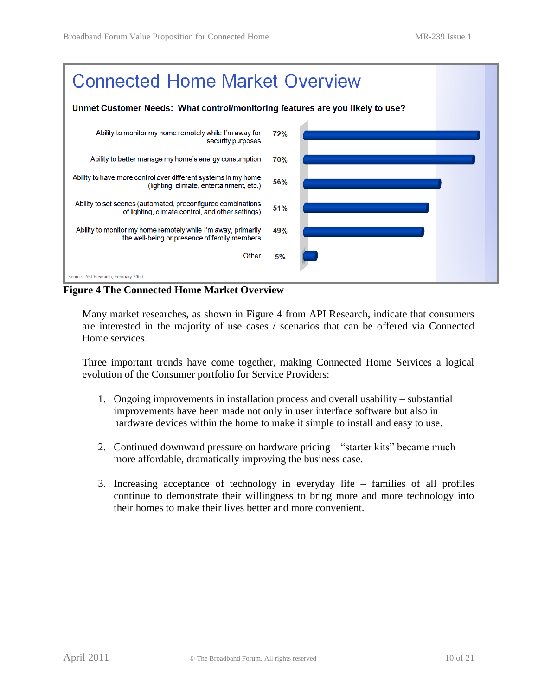

<span id="page-9-0"></span>**Figure 4 The Connected Home Market Overview**

Many market researches, as shown in [Figure 4](#page-9-0) from API Research, indicate that consumers are interested in the majority of use cases / scenarios that can be offered via Connected Home services.

Three important trends have come together, making Connected Home Services a logical evolution of the Consumer portfolio for Service Providers:

- 1. Ongoing improvements in installation process and overall usability substantial improvements have been made not only in user interface software but also in hardware devices within the home to make it simple to install and easy to use.
- 2. Continued downward pressure on hardware pricing "starter kits" became much more affordable, dramatically improving the business case.
- 3. Increasing acceptance of technology in everyday life families of all profiles continue to demonstrate their willingness to bring more and more technology into their homes to make their lives better and more convenient.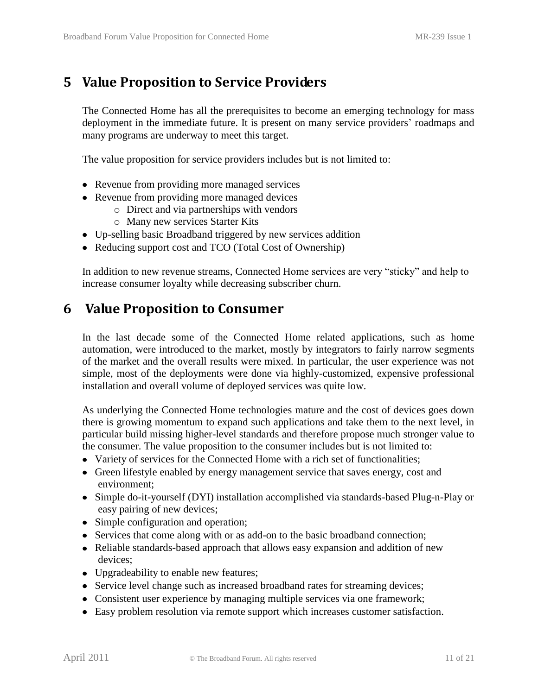## <span id="page-10-0"></span>**5 Value Proposition to Service Providers**

The Connected Home has all the prerequisites to become an emerging technology for mass deployment in the immediate future. It is present on many service providers' roadmaps and many programs are underway to meet this target.

The value proposition for service providers includes but is not limited to:

- Revenue from providing more managed services
- Revenue from providing more managed devices
	- o Direct and via partnerships with vendors
	- o Many new services Starter Kits
- Up-selling basic Broadband triggered by new services addition
- Reducing support cost and TCO (Total Cost of Ownership)

<span id="page-10-1"></span>In addition to new revenue streams, Connected Home services are very "sticky" and help to increase consumer loyalty while decreasing subscriber churn.

## **6 Value Proposition to Consumer**

In the last decade some of the Connected Home related applications, such as home automation, were introduced to the market, mostly by integrators to fairly narrow segments of the market and the overall results were mixed. In particular, the user experience was not simple, most of the deployments were done via highly-customized, expensive professional installation and overall volume of deployed services was quite low.

As underlying the Connected Home technologies mature and the cost of devices goes down there is growing momentum to expand such applications and take them to the next level, in particular build missing higher-level standards and therefore propose much stronger value to the consumer. The value proposition to the consumer includes but is not limited to:

- Variety of services for the Connected Home with a rich set of functionalities;
- Green lifestyle enabled by energy management service that saves energy, cost and environment;
- Simple do-it-yourself (DYI) installation accomplished via standards-based Plug-n-Play or easy pairing of new devices;
- Simple configuration and operation;
- Services that come along with or as add-on to the basic broadband connection;
- Reliable standards-based approach that allows easy expansion and addition of new devices;
- Upgradeability to enable new features;
- Service level change such as increased broadband rates for streaming devices;
- Consistent user experience by managing multiple services via one framework;
- Easy problem resolution via remote support which increases customer satisfaction.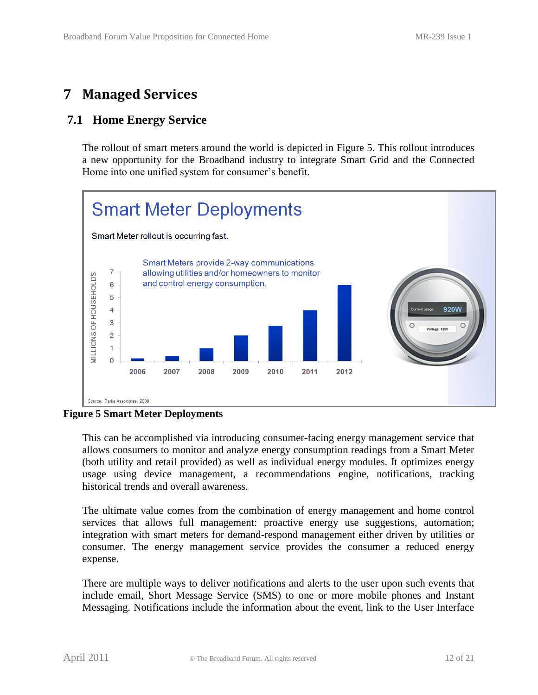## <span id="page-11-0"></span>**7 Managed Services**

### <span id="page-11-1"></span>**7.1 Home Energy Service**

The rollout of smart meters around the world is depicted in [Figure 5.](#page-11-2) This rollout introduces a new opportunity for the Broadband industry to integrate Smart Grid and the Connected Home into one unified system for consumer's benefit.



<span id="page-11-2"></span>**Figure 5 Smart Meter Deployments**

This can be accomplished via introducing consumer-facing energy management service that allows consumers to monitor and analyze energy consumption readings from a Smart Meter (both utility and retail provided) as well as individual energy modules. It optimizes energy usage using device management, a recommendations engine, notifications, tracking historical trends and overall awareness.

The ultimate value comes from the combination of energy management and home control services that allows full management: proactive energy use suggestions, automation; integration with smart meters for demand-respond management either driven by utilities or consumer. The energy management service provides the consumer a reduced energy expense.

There are multiple ways to deliver notifications and alerts to the user upon such events that include email, Short Message Service (SMS) to one or more mobile phones and Instant Messaging. Notifications include the information about the event, link to the User Interface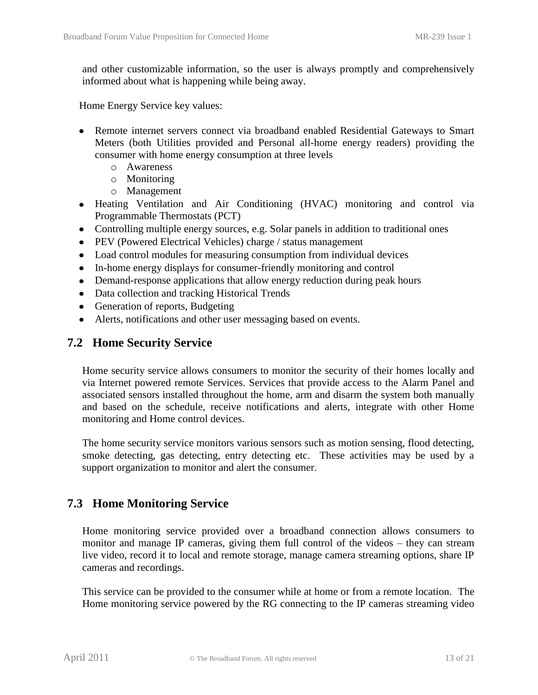and other customizable information, so the user is always promptly and comprehensively informed about what is happening while being away.

Home Energy Service key values:

- Remote internet servers connect via broadband enabled Residential Gateways to Smart Meters (both Utilities provided and Personal all-home energy readers) providing the consumer with home energy consumption at three levels
	- o Awareness
	- o Monitoring
	- o Management
- Heating Ventilation and Air Conditioning (HVAC) monitoring and control via Programmable Thermostats (PCT)
- Controlling multiple energy sources, e.g. Solar panels in addition to traditional ones
- PEV (Powered Electrical Vehicles) charge / status management
- Load control modules for measuring consumption from individual devices
- In-home energy displays for consumer-friendly monitoring and control
- Demand-response applications that allow energy reduction during peak hours
- Data collection and tracking Historical Trends
- Generation of reports, Budgeting
- Alerts, notifications and other user messaging based on events.

#### <span id="page-12-0"></span>**7.2 Home Security Service**

Home security service allows consumers to monitor the security of their homes locally and via Internet powered remote Services. Services that provide access to the Alarm Panel and associated sensors installed throughout the home, arm and disarm the system both manually and based on the schedule, receive notifications and alerts, integrate with other Home monitoring and Home control devices.

The home security service monitors various sensors such as motion sensing, flood detecting, smoke detecting, gas detecting, entry detecting etc. These activities may be used by a support organization to monitor and alert the consumer.

#### <span id="page-12-1"></span>**7.3 Home Monitoring Service**

Home monitoring service provided over a broadband connection allows consumers to monitor and manage IP cameras, giving them full control of the videos – they can stream live video, record it to local and remote storage, manage camera streaming options, share IP cameras and recordings.

This service can be provided to the consumer while at home or from a remote location. The Home monitoring service powered by the RG connecting to the IP cameras streaming video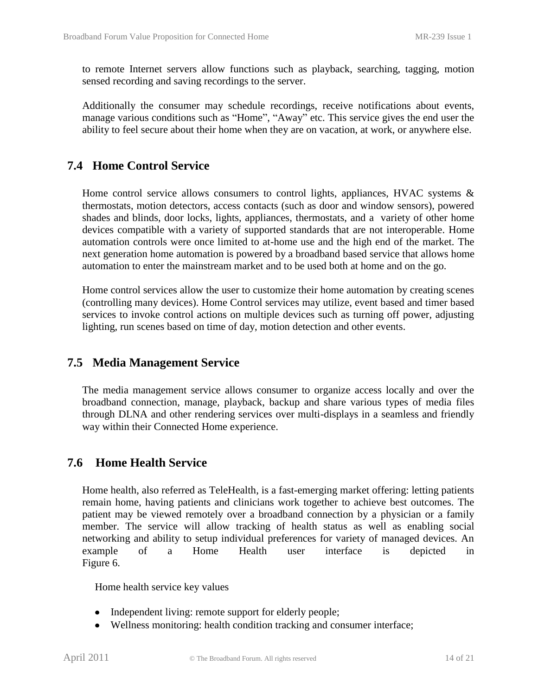to remote Internet servers allow functions such as playback, searching, tagging, motion sensed recording and saving recordings to the server.

Additionally the consumer may schedule recordings, receive notifications about events, manage various conditions such as "Home", "Away" etc. This service gives the end user the ability to feel secure about their home when they are on vacation, at work, or anywhere else.

### <span id="page-13-0"></span>**7.4 Home Control Service**

Home control service allows consumers to control lights, appliances, HVAC systems & thermostats, motion detectors, access contacts (such as door and window sensors), powered shades and blinds, door locks, lights, appliances, thermostats, and a variety of other home devices compatible with a variety of supported standards that are not interoperable. Home automation controls were once limited to at-home use and the high end of the market. The next generation home automation is powered by a broadband based service that allows home automation to enter the mainstream market and to be used both at home and on the go.

Home control services allow the user to customize their home automation by creating scenes (controlling many devices). Home Control services may utilize, event based and timer based services to invoke control actions on multiple devices such as turning off power, adjusting lighting, run scenes based on time of day, motion detection and other events.

#### <span id="page-13-1"></span>**7.5 Media Management Service**

The media management service allows consumer to organize access locally and over the broadband connection, manage, playback, backup and share various types of media files through DLNA and other rendering services over multi-displays in a seamless and friendly way within their Connected Home experience.

#### <span id="page-13-2"></span>**7.6 Home Health Service**

Home health, also referred as TeleHealth, is a fast-emerging market offering: letting patients remain home, having patients and clinicians work together to achieve best outcomes. The patient may be viewed remotely over a broadband connection by a physician or a family member. The service will allow tracking of health status as well as enabling social networking and ability to setup individual preferences for variety of managed devices. An example of a Home Health user interface is depicted in [Figure 6.](#page-14-0)

Home health service key values

- Independent living: remote support for elderly people;
- Wellness monitoring: health condition tracking and consumer interface;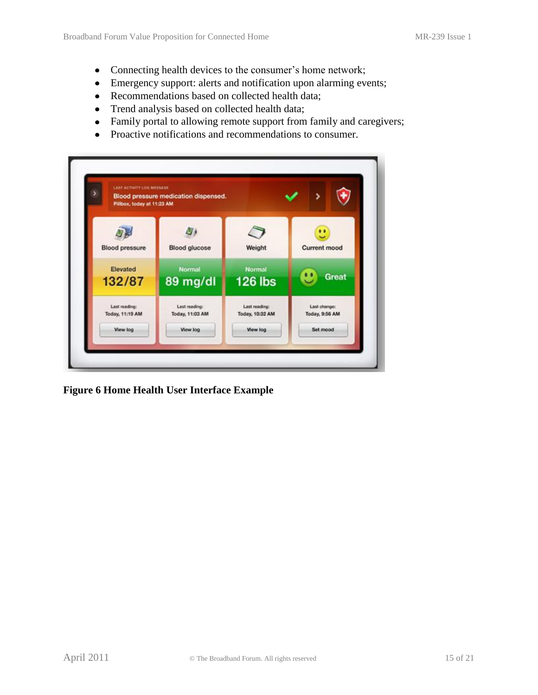- Connecting health devices to the consumer's home network;
- Emergency support: alerts and notification upon alarming events;
- Recommendations based on collected health data;
- Trend analysis based on collected health data;
- Family portal to allowing remote support from family and caregivers;
- Proactive notifications and recommendations to consumer.

| Pillbox, today at 11:23 AM | Blood pressure medication dispensed. |                 |                          |
|----------------------------|--------------------------------------|-----------------|--------------------------|
| <b>Blood pressure</b>      | <b>Blood glucose</b>                 | Weight          | u<br><b>Current mood</b> |
| Elevated                   | <b>Normal</b>                        | <b>Normal</b>   | Great                    |
| 132/87                     | 89 mg/dl                             | <b>126 lbs</b>  |                          |
| Last reading:              | Last reading:                        | Last reading:   | Last change:             |
| <b>Today, 11:19 AM</b>     | Today, 11:03 AM                      | Today, 10:32 AM | Today, 9:56 AM           |
| View log                   | View log                             | View log        | Set mood                 |

<span id="page-14-0"></span>**Figure 6 Home Health User Interface Example**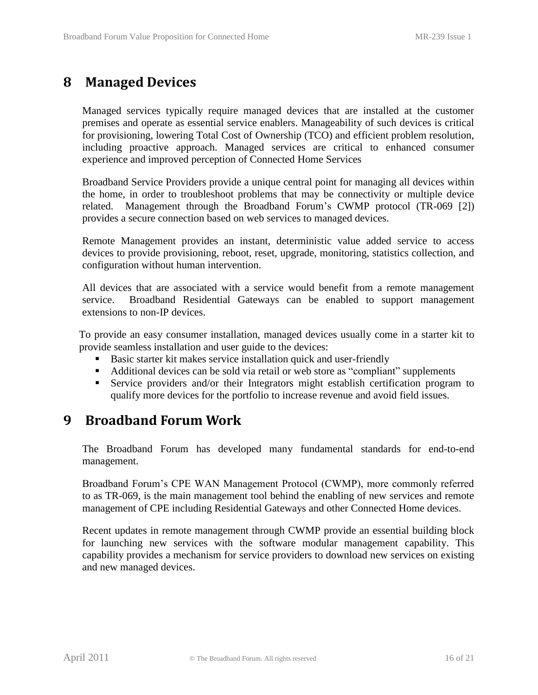## <span id="page-15-0"></span>**8 Managed Devices**

Managed services typically require managed devices that are installed at the customer premises and operate as essential service enablers. Manageability of such devices is critical for provisioning, lowering Total Cost of Ownership (TCO) and efficient problem resolution, including proactive approach. Managed services are critical to enhanced consumer experience and improved perception of Connected Home Services

Broadband Service Providers provide a unique central point for managing all devices within the home, in order to troubleshoot problems that may be connectivity or multiple device related. Management through the Broadband Forum's CWMP protocol (TR-069 [\[2\]\)](#page-19-2) provides a secure connection based on web services to managed devices.

Remote Management provides an instant, deterministic value added service to access devices to provide provisioning, reboot, reset, upgrade, monitoring, statistics collection, and configuration without human intervention.

All devices that are associated with a service would benefit from a remote management service. Broadband Residential Gateways can be enabled to support management extensions to non-IP devices.

To provide an easy consumer installation, managed devices usually come in a starter kit to provide seamless installation and user guide to the devices:

- Basic starter kit makes service installation quick and user-friendly
- Additional devices can be sold via retail or web store as "compliant" supplements
- Service providers and/or their Integrators might establish certification program to qualify more devices for the portfolio to increase revenue and avoid field issues.

## <span id="page-15-1"></span>**9 Broadband Forum Work**

The Broadband Forum has developed many fundamental standards for end-to-end management.

Broadband Forum's CPE WAN Management Protocol (CWMP), more commonly referred to as TR-069, is the main management tool behind the enabling of new services and remote management of CPE including Residential Gateways and other Connected Home devices.

Recent updates in remote management through CWMP provide an essential building block for launching new services with the software modular management capability. This capability provides a mechanism for service providers to download new services on existing and new managed devices.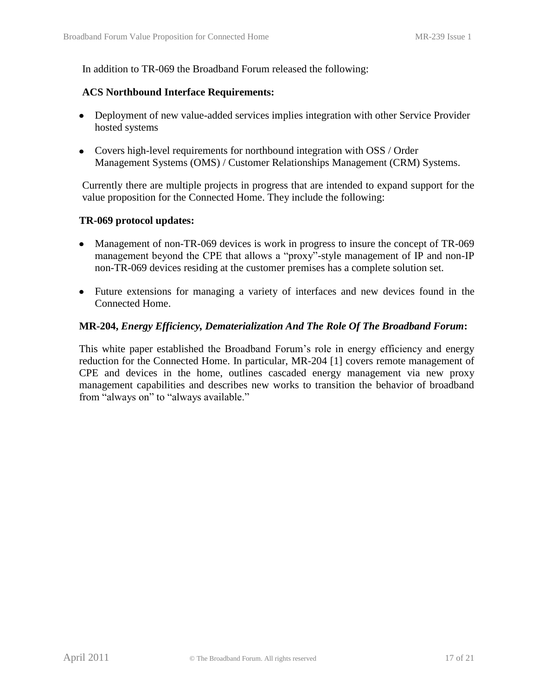In addition to TR-069 the Broadband Forum released the following:

#### **ACS Northbound Interface Requirements:**

- Deployment of new value-added services implies integration with other Service Provider hosted systems
- Covers high-level requirements for northbound integration with OSS / Order Management Systems (OMS) / Customer Relationships Management (CRM) Systems.

Currently there are multiple projects in progress that are intended to expand support for the value proposition for the Connected Home. They include the following:

#### **TR-069 protocol updates:**

- Management of non-TR-069 devices is work in progress to insure the concept of TR-069 management beyond the CPE that allows a "proxy"-style management of IP and non-IP non-TR-069 devices residing at the customer premises has a complete solution set.
- Future extensions for managing a variety of interfaces and new devices found in the Connected Home.

#### **MR-204,** *Energy Efficiency, Dematerialization And The Role Of The Broadband Forum***:**

This white paper established the Broadband Forum's role in energy efficiency and energy reduction for the Connected Home. In particular, MR-204 [\[1\]](#page-19-3) covers remote management of CPE and devices in the home, outlines cascaded energy management via new proxy management capabilities and describes new works to transition the behavior of broadband from "always on" to "always available."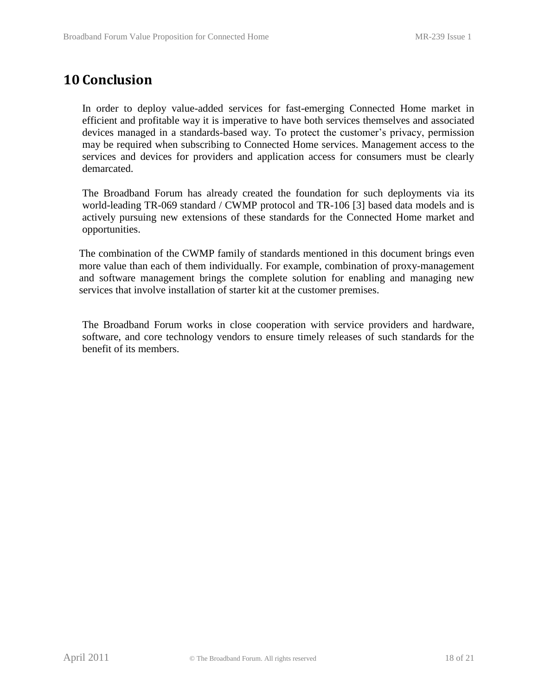## <span id="page-17-0"></span>**10 Conclusion**

In order to deploy value-added services for fast-emerging Connected Home market in efficient and profitable way it is imperative to have both services themselves and associated devices managed in a standards-based way. To protect the customer's privacy, permission may be required when subscribing to Connected Home services. Management access to the services and devices for providers and application access for consumers must be clearly demarcated.

The Broadband Forum has already created the foundation for such deployments via its world-leading TR-069 standard / CWMP protocol and TR-106 [\[3\]](#page-19-4) based data models and is actively pursuing new extensions of these standards for the Connected Home market and opportunities.

The combination of the CWMP family of standards mentioned in this document brings even more value than each of them individually. For example, combination of proxy-management and software management brings the complete solution for enabling and managing new services that involve installation of starter kit at the customer premises.

The Broadband Forum works in close cooperation with service providers and hardware, software, and core technology vendors to ensure timely releases of such standards for the benefit of its members.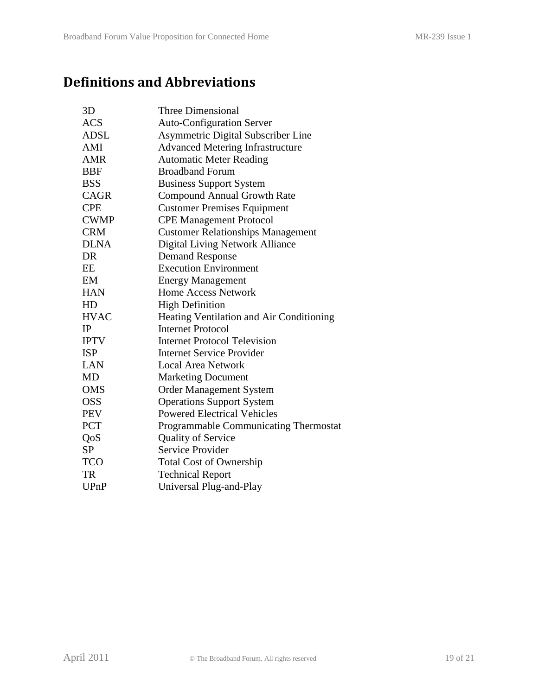## <span id="page-18-0"></span>**Definitions and Abbreviations**

| 3D          | <b>Three Dimensional</b>                 |
|-------------|------------------------------------------|
| <b>ACS</b>  | <b>Auto-Configuration Server</b>         |
| <b>ADSL</b> | Asymmetric Digital Subscriber Line       |
| AMI         | <b>Advanced Metering Infrastructure</b>  |
| <b>AMR</b>  | <b>Automatic Meter Reading</b>           |
| <b>BBF</b>  | <b>Broadband Forum</b>                   |
| <b>BSS</b>  | <b>Business Support System</b>           |
| <b>CAGR</b> | <b>Compound Annual Growth Rate</b>       |
| <b>CPE</b>  | <b>Customer Premises Equipment</b>       |
| <b>CWMP</b> | <b>CPE Management Protocol</b>           |
| <b>CRM</b>  | <b>Customer Relationships Management</b> |
| <b>DLNA</b> | <b>Digital Living Network Alliance</b>   |
| DR          | <b>Demand Response</b>                   |
| EE          | <b>Execution Environment</b>             |
| EM          | <b>Energy Management</b>                 |
| <b>HAN</b>  | <b>Home Access Network</b>               |
| HD          | <b>High Definition</b>                   |
| <b>HVAC</b> | Heating Ventilation and Air Conditioning |
| IP          | <b>Internet Protocol</b>                 |
| <b>IPTV</b> | <b>Internet Protocol Television</b>      |
| <b>ISP</b>  | <b>Internet Service Provider</b>         |
| <b>LAN</b>  | <b>Local Area Network</b>                |
| MD          | <b>Marketing Document</b>                |
| <b>OMS</b>  | <b>Order Management System</b>           |
| <b>OSS</b>  | <b>Operations Support System</b>         |
| <b>PEV</b>  | <b>Powered Electrical Vehicles</b>       |
| PCT         | Programmable Communicating Thermostat    |
| QoS         | <b>Quality of Service</b>                |
| <b>SP</b>   | <b>Service Provider</b>                  |
| <b>TCO</b>  | <b>Total Cost of Ownership</b>           |
| <b>TR</b>   | <b>Technical Report</b>                  |
| <b>UPnP</b> | Universal Plug-and-Play                  |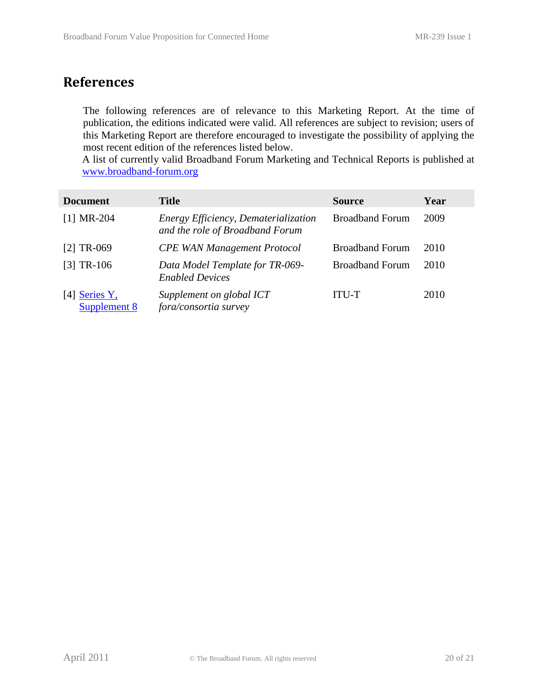## <span id="page-19-0"></span>**References**

The following references are of relevance to this Marketing Report. At the time of publication, the editions indicated were valid. All references are subject to revision; users of this Marketing Report are therefore encouraged to investigate the possibility of applying the most recent edition of the references listed below.

A list of currently valid Broadband Forum Marketing and Technical Reports is published at [www.broadband-forum.org](http://www.broadband-forum.org/)

<span id="page-19-4"></span><span id="page-19-3"></span><span id="page-19-2"></span><span id="page-19-1"></span>

| <b>Document</b>               | <b>Title</b>                                                            | <b>Source</b>          | Year |
|-------------------------------|-------------------------------------------------------------------------|------------------------|------|
| $[1] MR-204$                  | Energy Efficiency, Dematerialization<br>and the role of Broadband Forum | <b>Broadband Forum</b> | 2009 |
| $[2] TR-069$                  | <b>CPE WAN Management Protocol</b>                                      | <b>Broadband Forum</b> | 2010 |
| $[3] TR-106$                  | Data Model Template for TR-069-<br><b>Enabled Devices</b>               | <b>Broadband Forum</b> | 2010 |
| [4] Series Y,<br>Supplement 8 | Supplement on global ICT<br>fora/consortia survey                       | ITU-T                  | 2010 |